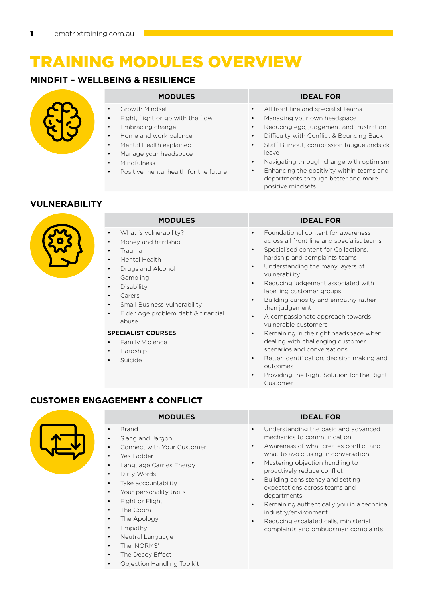# training modules overview

# **MINDFIT – WELLBEING & RESILIENCE**



- • Growth Mindset
- Fight, flight or go with the flow
- Embracing change
- Home and work balance
- Mental Health explained
- Manage your headspace
- Mindfulness
- Positive mental health for the future

### **MODULES ideal FOR**

- All front line and specialist teams
- Managing your own headspace
- Reducing ego, judgement and frustration
- Difficulty with Conflict & Bouncing Back
- Staff Burnout, compassion fatigue andsick leave
- Navigating through change with optimism
	- Enhancing the positivity within teams and departments through better and more positive mindsets

## **VULNERABILITY**

| <b>MODULES</b>                                                                                                                                                                                                                                                                                                                                                                                                                                                  | <b>IDEAL FOR</b>                                                                                                                                                                                                                                                                                                                                                                                                                                                                                                                                                                                                                                                                                                                                   |
|-----------------------------------------------------------------------------------------------------------------------------------------------------------------------------------------------------------------------------------------------------------------------------------------------------------------------------------------------------------------------------------------------------------------------------------------------------------------|----------------------------------------------------------------------------------------------------------------------------------------------------------------------------------------------------------------------------------------------------------------------------------------------------------------------------------------------------------------------------------------------------------------------------------------------------------------------------------------------------------------------------------------------------------------------------------------------------------------------------------------------------------------------------------------------------------------------------------------------------|
| What is vulnerability?<br>$\bullet$<br>Money and hardship<br>$\bullet$<br>Trauma<br>$\bullet$<br>Mental Health<br>$\bullet$<br>Drugs and Alcohol<br>$\bullet$<br>Gambling<br>$\bullet$<br>Disability<br>$\bullet$<br>Carers<br>$\bullet$<br>Small Business vulnerability<br>$\bullet$<br>Elder Age problem debt & financial<br>$\bullet$<br>abuse<br><b>SPECIALIST COURSES</b><br>Family Violence<br>$\bullet$<br>Hardship<br>$\bullet$<br>Suicide<br>$\bullet$ | Foundational content for awareness<br>$\bullet$<br>across all front line and specialist teams<br>Specialised content for Collections,<br>$\bullet$<br>hardship and complaints teams<br>Understanding the many layers of<br>$\bullet$<br>vulnerability<br>Reducing judgement associated with<br>$\bullet$<br>labelling customer groups<br>Building curiosity and empathy rather<br>$\bullet$<br>than judgement<br>A compassionate approach towards<br>$\bullet$<br>vulnerable customers<br>Remaining in the right headspace when<br>$\bullet$<br>dealing with challenging customer<br>scenarios and conversations<br>Better identification, decision making and<br>$\bullet$<br>outcomes<br>Providing the Right Solution for the Right<br>$\bullet$ |
|                                                                                                                                                                                                                                                                                                                                                                                                                                                                 | Customer                                                                                                                                                                                                                                                                                                                                                                                                                                                                                                                                                                                                                                                                                                                                           |

# **CUSTOMER ENGAGEMENT & CONFLICT**



- **Brand**
- Slang and Jargon
- Connect with Your Customer
- Yes Ladder
- Language Carries Energy
- Dirty Words
- Take accountability
- Your personality traits
- Fight or Flight
- The Cobra
- The Apology
- **Empathy**
- Neutral Language
- The 'NORMS'
- The Decoy Effect
- Objection Handling Toolkit

### **MODULES ideal FOR**

- Understanding the basic and advanced mechanics to communication
- Awareness of what creates conflict and what to avoid using in conversation
- Mastering objection handling to proactively reduce conflict
- Building consistency and setting expectations across teams and departments
- Remaining authentically you in a technical industry/environment
- Reducing escalated calls, ministerial complaints and ombudsman complaints